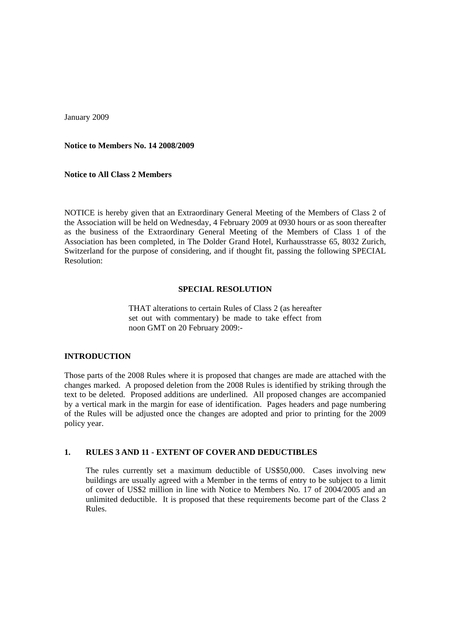January 2009

**Notice to Members No. 14 2008/2009** 

**Notice to All Class 2 Members** 

NOTICE is hereby given that an Extraordinary General Meeting of the Members of Class 2 of the Association will be held on Wednesday, 4 February 2009 at 0930 hours or as soon thereafter as the business of the Extraordinary General Meeting of the Members of Class 1 of the Association has been completed, in The Dolder Grand Hotel, Kurhausstrasse 65, 8032 Zurich, Switzerland for the purpose of considering, and if thought fit, passing the following SPECIAL Resolution:

#### **SPECIAL RESOLUTION**

THAT alterations to certain Rules of Class 2 (as hereafter set out with commentary) be made to take effect from noon GMT on 20 February 2009:-

### **INTRODUCTION**

Those parts of the 2008 Rules where it is proposed that changes are made are attached with the changes marked. A proposed deletion from the 2008 Rules is identified by striking through the text to be deleted. Proposed additions are underlined. All proposed changes are accompanied by a vertical mark in the margin for ease of identification. Pages headers and page numbering of the Rules will be adjusted once the changes are adopted and prior to printing for the 2009 policy year.

### **1. RULES 3 AND 11 - EXTENT OF COVER AND DEDUCTIBLES**

The rules currently set a maximum deductible of US\$50,000. Cases involving new buildings are usually agreed with a Member in the terms of entry to be subject to a limit of cover of US\$2 million in line with Notice to Members No. 17 of 2004/2005 and an unlimited deductible. It is proposed that these requirements become part of the Class 2 Rules.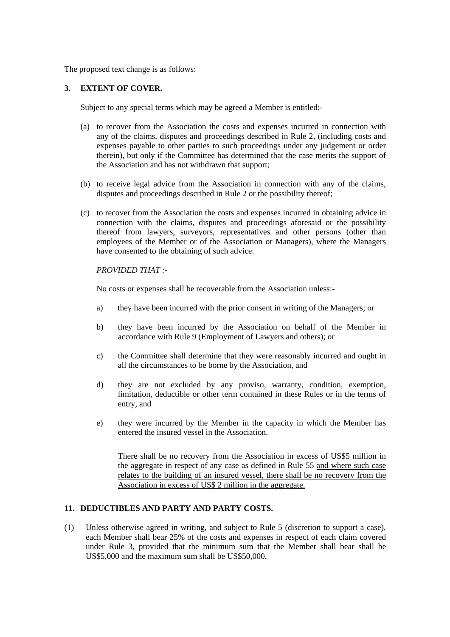The proposed text change is as follows:

### **3. EXTENT OF COVER.**

Subject to any special terms which may be agreed a Member is entitled:-

- (a) to recover from the Association the costs and expenses incurred in connection with any of the claims, disputes and proceedings described in Rule 2, (including costs and expenses payable to other parties to such proceedings under any judgement or order therein), but only if the Committee has determined that the case merits the support of the Association and has not withdrawn that support;
- (b) to receive legal advice from the Association in connection with any of the claims, disputes and proceedings described in Rule 2 or the possibility thereof;
- (c) to recover from the Association the costs and expenses incurred in obtaining advice in connection with the claims, disputes and proceedings aforesaid or the possibility thereof from lawyers, surveyors, representatives and other persons (other than employees of the Member or of the Association or Managers), where the Managers have consented to the obtaining of such advice.

### *PROVIDED THAT :-*

No costs or expenses shall be recoverable from the Association unless:-

- a) they have been incurred with the prior consent in writing of the Managers; or
- b) they have been incurred by the Association on behalf of the Member in accordance with Rule 9 (Employment of Lawyers and others); or
- c) the Committee shall determine that they were reasonably incurred and ought in all the circumstances to be borne by the Association, and
- d) they are not excluded by any proviso, warranty, condition, exemption, limitation, deductible or other term contained in these Rules or in the terms of entry, and
- e) they were incurred by the Member in the capacity in which the Member has entered the insured vessel in the Association.

There shall be no recovery from the Association in excess of US\$5 million in the aggregate in respect of any case as defined in Rule 55 and where such case relates to the building of an insured vessel, there shall be no recovery from the Association in excess of US\$ 2 million in the aggregate.

### **11. DEDUCTIBLES AND PARTY AND PARTY COSTS.**

(1) Unless otherwise agreed in writing, and subject to Rule 5 (discretion to support a case), each Member shall bear 25% of the costs and expenses in respect of each claim covered under Rule 3, provided that the minimum sum that the Member shall bear shall be US\$5,000 and the maximum sum shall be US\$50,000.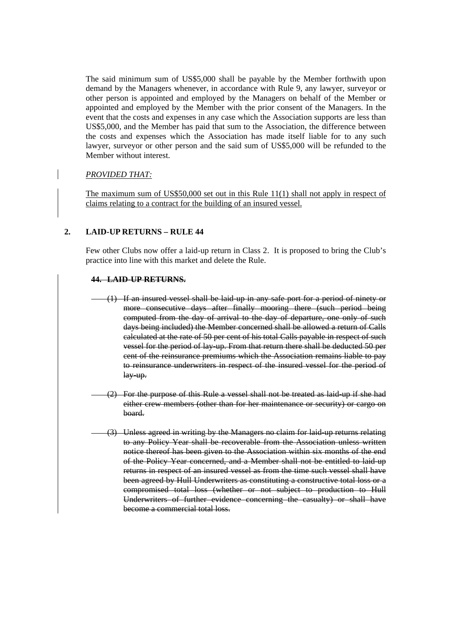The said minimum sum of US\$5,000 shall be payable by the Member forthwith upon demand by the Managers whenever, in accordance with Rule 9, any lawyer, surveyor or other person is appointed and employed by the Managers on behalf of the Member or appointed and employed by the Member with the prior consent of the Managers. In the event that the costs and expenses in any case which the Association supports are less than US\$5,000, and the Member has paid that sum to the Association, the difference between the costs and expenses which the Association has made itself liable for to any such lawyer, surveyor or other person and the said sum of US\$5,000 will be refunded to the Member without interest.

# *PROVIDED THAT:*

The maximum sum of US\$50,000 set out in this Rule 11(1) shall not apply in respect of claims relating to a contract for the building of an insured vessel.

# **2. LAID-UP RETURNS – RULE 44**

Few other Clubs now offer a laid-up return in Class 2. It is proposed to bring the Club's practice into line with this market and delete the Rule.

### **44. LAID-UP RETURNS.**

- (1) If an insured vessel shall be laid-up in any safe port for a period of ninety or more consecutive days after finally mooring there (such period being computed from the day of arrival to the day of departure, one only of such days being included) the Member concerned shall be allowed a return of Calls calculated at the rate of 50 per cent of his total Calls payable in respect of such vessel for the period of lay-up. From that return there shall be deducted 50 per cent of the reinsurance premiums which the Association remains liable to pay to reinsurance underwriters in respect of the insured vessel for the period of lay-up.
- (2) For the purpose of this Rule a vessel shall not be treated as laid-up if she had either crew members (other than for her maintenance or security) or cargo on board.
- Unless agreed in writing by the Managers no claim for laid-up returns relating to any Policy Year shall be recoverable from the Association unless written notice thereof has been given to the Association within six months of the end of the Policy Year concerned, and a Member shall not be entitled to laid-up returns in respect of an insured vessel as from the time such vessel shall have been agreed by Hull Underwriters as constituting a constructive total loss or a compromised total loss (whether or not subject to production to Hull Underwriters of further evidence concerning the casualty) or shall have become a commercial total loss.